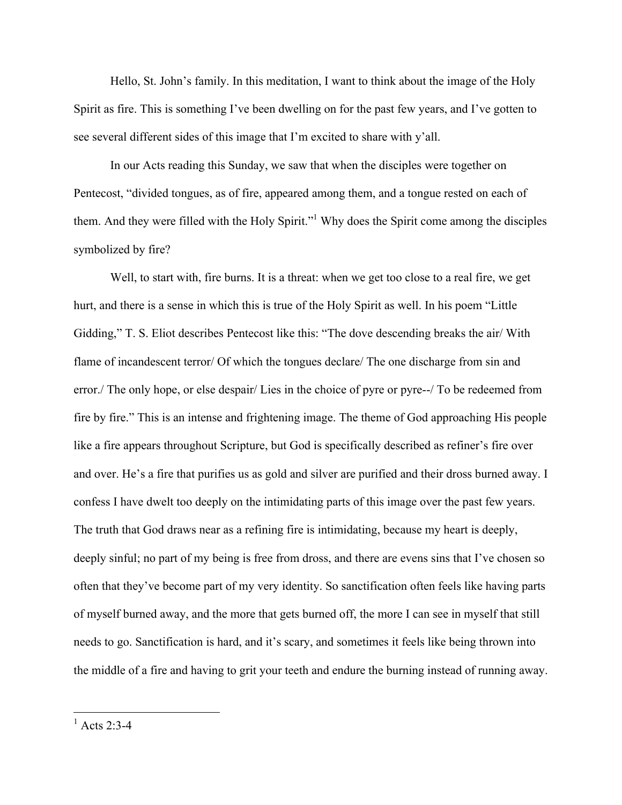Hello, St. John's family. In this meditation, I want to think about the image of the Holy Spirit as fire. This is something I've been dwelling on for the past few years, and I've gotten to see several different sides of this image that I'm excited to share with y'all.

In our Acts reading this Sunday, we saw that when the disciples were together on Pentecost, "divided tongues, as of fire, appeared among them, and a tongue rested on each of them. And they were filled with the Holy Spirit."1 Why does the Spirit come among the disciples symbolized by fire?

Well, to start with, fire burns. It is a threat: when we get too close to a real fire, we get hurt, and there is a sense in which this is true of the Holy Spirit as well. In his poem "Little Gidding," T. S. Eliot describes Pentecost like this: "The dove descending breaks the air/ With flame of incandescent terror/ Of which the tongues declare/ The one discharge from sin and error./ The only hope, or else despair/ Lies in the choice of pyre or pyre--/ To be redeemed from fire by fire." This is an intense and frightening image. The theme of God approaching His people like a fire appears throughout Scripture, but God is specifically described as refiner's fire over and over. He's a fire that purifies us as gold and silver are purified and their dross burned away. I confess I have dwelt too deeply on the intimidating parts of this image over the past few years. The truth that God draws near as a refining fire is intimidating, because my heart is deeply, deeply sinful; no part of my being is free from dross, and there are evens sins that I've chosen so often that they've become part of my very identity. So sanctification often feels like having parts of myself burned away, and the more that gets burned off, the more I can see in myself that still needs to go. Sanctification is hard, and it's scary, and sometimes it feels like being thrown into the middle of a fire and having to grit your teeth and endure the burning instead of running away.

 $^{1}$  Acts 2:3-4